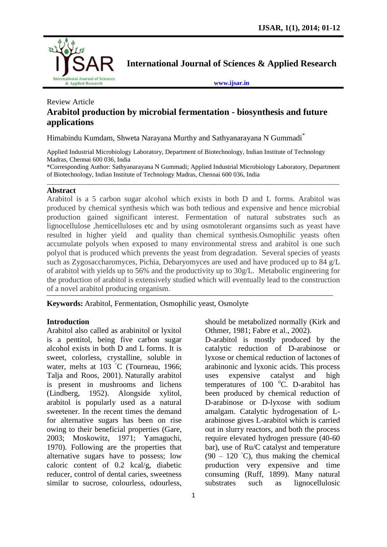

**International Journal of Sciences & Applied Research**

**[www.ijsar.in](http://www.ijsar.in/)**

# Review Article **Arabitol production by microbial fermentation - biosynthesis and future applications**

Himabindu Kumdam, Shweta Narayana Murthy and Sathyanarayana N Gummadi\*

Applied Industrial Microbiology Laboratory, Department of Biotechnology, Indian Institute of Technology Madras, Chennai 600 036, India

\*Corresponding Author: Sathyanarayana N Gummadi; Applied Industrial Microbiology Laboratory, Department of Biotechnology, Indian Institute of Technology Madras, Chennai 600 036, India \_\_\_\_\_\_\_\_\_\_\_\_\_\_\_\_\_\_\_\_\_\_\_\_\_\_\_\_\_\_\_\_\_\_\_\_\_\_\_\_\_\_\_\_\_\_\_\_\_\_\_\_\_\_\_\_\_\_\_\_\_\_\_\_\_\_\_\_\_\_\_\_\_\_\_\_\_\_\_\_\_\_\_\_\_\_\_\_\_\_

#### **Abstract**

Arabitol is a 5 carbon sugar alcohol which exists in both D and L forms. Arabitol was produced by chemical synthesis which was both tedious and expensive and hence microbial production gained significant interest. Fermentation of natural substrates such as lignocellulose ,hemicelluloses etc and by using osmotolerant organsims such as yeast have resulted in higher yield and quality than chemical synthesis.Osmophilic yeasts often accumulate polyols when exposed to many environmental stress and arabitol is one such polyol that is produced which prevents the yeast from degradation. Several species of yeasts such as Zygosaccharomyces, Pichia, Debaryomyces are used and have produced up to 84 g/L of arabitol with yields up to 56% and the productivity up to 30g/L. Metabolic engineering for the production of arabitol is extensively studied which will eventually lead to the construction of a novel arabitol producing organism.

**Keywords:** Arabitol, Fermentation, Osmophilic yeast, Osmolyte

## **Introduction**

Arabitol also called as arabinitol or lyxitol is a pentitol, being five carbon sugar alcohol exists in both D and L forms. It is sweet, colorless, crystalline, soluble in water, melts at 103 °C (Tourneau, 1966; Talja and Roos, 2001). Naturally arabitol is present in mushrooms and lichens (Lindberg, 1952). Alongside xylitol, arabitol is popularly used as a natural sweetener. In the recent times the demand for alternative sugars has been on rise owing to their beneficial properties (Gare, 2003; Moskowitz, 1971; Yamaguchi, 1970). Following are the properties that alternative sugars have to possess; low caloric content of 0.2 kcal/g, diabetic reducer, control of dental caries, sweetness similar to sucrose, colourless, odourless,

should be metabolized normally (Kirk and Othmer, 1981; Fabre et al., 2002).

D-arabitol is mostly produced by the catalytic reduction of D-arabinose or lyxose or chemical reduction of lactones of arabinonic and lyxonic acids. This process uses expensive catalyst and high temperatures of  $100\degree$ C. D-arabitol has been produced by chemical reduction of D-arabinose or D-lyxose with sodium amalgam. Catalytic hydrogenation of Larabinose gives L-arabitol which is carried out in slurry reactors, and both the process require elevated hydrogen pressure (40-60 bar), use of Ru/C catalyst and temperature  $(90 - 120 \degree C)$ , thus making the chemical production very expensive and time consuming (Ruff, 1899). Many natural substrates such as lignocellulosic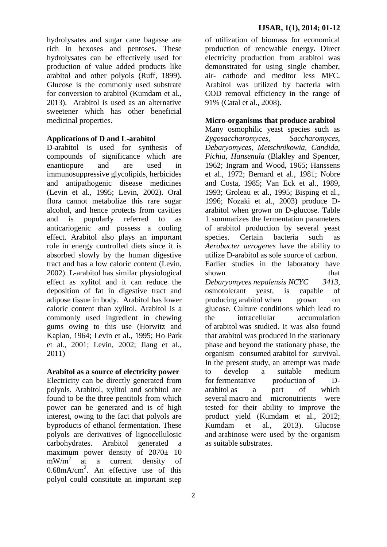hydrolysates and sugar cane bagasse are rich in hexoses and pentoses. These hydrolysates can be effectively used for production of value added products like arabitol and other polyols (Ruff, 1899). Glucose is the commonly used substrate for conversion to arabitol (Kumdam et al., 2013). Arabitol is used as an alternative sweetener which has other beneficial medicinal properties.

## **Applications of D and L-arabitol**

D-arabitol is used for synthesis of compounds of significance which are enantiopure and are used in immunosuppressive glycolipids, herbicides and antipathogenic disease medicines (Levin et al., 1995; Levin, 2002). Oral flora cannot metabolize this rare sugar alcohol, and hence protects from cavities and is popularly referred to as anticariogenic and possess a cooling effect. Arabitol also plays an important role in energy controlled diets since it is absorbed slowly by the human digestive tract and has a low caloric content (Levin, 2002). L-arabitol has similar physiological effect as xylitol and it can reduce the deposition of fat in digestive tract and adipose tissue in body. Arabitol has lower caloric content than xylitol. Arabitol is a commonly used ingredient in chewing gums owing to this use (Horwitz and Kaplan, 1964; Levin et al., 1995; Ho Park et al., 2001; Levin, 2002; Jiang et al., 2011)

## **Arabitol as a source of electricity power**

Electricity can be directly generated from polyols. Arabitol, xylitol and sorbitol are found to be the three pentitols from which power can be generated and is of high interest, owing to the fact that polyols are byproducts of ethanol fermentation. These polyols are derivatives of lignocellulosic carbohydrates. Arabitol generated a maximum power density of 2070± 10  $mW/m<sup>2</sup>$  at a current density of  $0.68 \text{mA/cm}^2$ . An effective use of this polyol could constitute an important step

of utilization of biomass for economical production of renewable energy. Direct electricity production from arabitol was demonstrated for using single chamber, air- cathode and meditor less MFC. Arabitol was utilized by bacteria with COD removal efficiency in the range of 91% (Catal et al., 2008).

## **Micro-organisms that produce arabitol**

Many osmophilic yeast species such as *Zygosaccharomyces, Saccharomyces, Debaryomyces, Metschnikowia, Candida, Pichia, Hansenula* (Blakley and Spencer, 1962; Ingram and Wood, 1965; Hanssens et al., 1972; Bernard et al., 1981; Nobre and Costa, 1985; Van Eck et al., 1989, 1993; Groleau et al., 1995; Bisping et al., 1996; Nozaki et al., 2003) produce Darabitol when grown on D-glucose. Table 1 summarizes the fermentation parameters of arabitol production by several yeast species. Certain bacteria such as *Aerobacter aerogenes* have the ability to utilize D-arabitol as sole source of carbon. Earlier studies in the laboratory have shown that that the shown that *Debaryomyces nepalensis NCYC 3413*, osmotolerant yeast, is capable of producing arabitol when grown on glucose. Culture conditions which lead to the intracellular accumulation of arabitol was studied. It was also found that arabitol was produced in the stationary phase and beyond the stationary phase, the organism consumed arabitol for survival. In the present study, an attempt was made to develop a suitable medium for fermentative production of Darabitol as a part of which several macro and micronutrients were tested for their ability to improve the product yield (Kumdam et al., 2012; Kumdam et al., 2013). Glucose and arabinose were used by the organism as suitable substrates.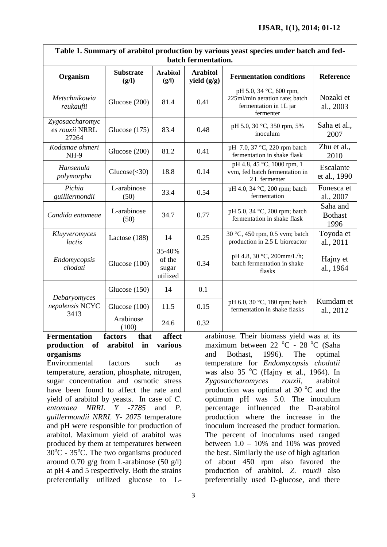٦

| Table 1. Summary of arabitol production by various yeast species under batch and fed-<br>batch fermentation. |                           |                                       |                                  |                                                                                                  |                                    |
|--------------------------------------------------------------------------------------------------------------|---------------------------|---------------------------------------|----------------------------------|--------------------------------------------------------------------------------------------------|------------------------------------|
| Organism                                                                                                     | <b>Substrate</b><br>(g/l) | <b>Arabitol</b><br>(g/l)              | <b>Arabitol</b><br>yield $(g/g)$ | <b>Fermentation conditions</b>                                                                   | Reference                          |
| Metschnikowia<br>reukaufii                                                                                   | Glucose (200)             | 81.4                                  | 0.41                             | pH 5.0, 34 °C, 600 rpm,<br>225ml/min aeration rate; batch<br>fermentation in 1L jar<br>fermenter | Nozaki et<br>al., 2003             |
| Zygosaccharomyc<br>es rouxii NRRL<br>27264                                                                   | Glucose $(175)$           | 83.4                                  | 0.48                             | pH 5.0, 30 °C, 350 rpm, 5%<br>inoculum                                                           | Saha et al.,<br>2007               |
| Kodamae ohmeri<br><b>NH-9</b>                                                                                | Glucose (200)             | 81.2                                  | 0.41                             | pH 7.0, 37 °C, 220 rpm batch<br>fermentation in shake flask                                      | Zhu et al.,<br>2010                |
| Hansenula<br>polymorpha                                                                                      | Glucose $(<$ 30)          | 18.8                                  | 0.14                             | pH 4.8, 45 °C, 1000 rpm, 1<br>vvm, fed batch fermentation in<br>2 L fermenter                    | Escalante<br>et al., 1990          |
| Pichia<br>guilliermondii                                                                                     | L-arabinose<br>(50)       | 33.4                                  | 0.54                             | pH 4.0, 34 °C, 200 rpm; batch<br>fermentation                                                    | Fonesca et<br>al., 2007            |
| Candida entomeae                                                                                             | L-arabinose<br>(50)       | 34.7                                  | 0.77                             | pH 5.0, 34 °C, 200 rpm; batch<br>fermentation in shake flask                                     | Saha and<br><b>Bothast</b><br>1996 |
| Kluyveromyces<br>lactis                                                                                      | Lactose (188)             | 14                                    | 0.25                             | 30 °C, 450 rpm, 0.5 vvm; batch<br>production in 2.5 L bioreactor                                 | Toyoda et<br>al., 2011             |
| Endomycopsis<br>chodati                                                                                      | Glucose (100)             | 35-40%<br>of the<br>sugar<br>utilized | 0.34                             | pH 4.8, 30 °C, 200mm/L/h;<br>batch fermentation in shake<br>flasks                               | Hajny et<br>al., 1964              |
| Debaryomyces<br>nepalensis NCYC<br>3413                                                                      | Glucose $(150)$           | 14                                    | 0.1                              | pH 6.0, 30 °C, 180 rpm; batch<br>fermentation in shake flasks                                    | Kumdam et<br>al., 2012             |
|                                                                                                              | Glucose (100)             | 11.5                                  | 0.15                             |                                                                                                  |                                    |
|                                                                                                              | Arabinose<br>(100)        | 24.6                                  | 0.32                             |                                                                                                  |                                    |

**Table 1. Summary of arabitol production by various yeast species under batch and fed-**

#### **Fermentation factors that affect production of arabitol in various organisms**

 $\overline{1}$ 

Environmental factors such as temperature, aeration, phosphate, nitrogen, sugar concentration and osmotic stress have been found to affect the rate and yield of arabitol by yeasts. In case of *C. entomaea NRRL Y -7785* and *P. guillermondii NRRL Y- 2075* temperature and pH were responsible for production of arabitol. Maximum yield of arabitol was produced by them at temperatures between  $30^{\circ}$ C - 35<sup>°</sup>C. The two organisms produced around 0.70  $g/g$  from L-arabinose (50  $g/l$ ) at pH 4 and 5 respectively. Both the strains preferentially utilized glucose to L-

arabinose. Their biomass yield was at its maximum between  $22\degree C$  -  $28\degree C$  (Saha and Bothast, 1996). The optimal temperature for *Endomycopsis chodatii* was also  $35^{\circ}$ C (Hajny et al., 1964). In *Zygosaccharomyces rouxii*, arabitol production was optimal at 30  $^{\circ}$ C and the optimum pH was 5.0. The inoculum percentage influenced the D-arabitol production where the increase in the inoculum increased the product formation. The percent of inoculums used ranged between  $1.0 - 10\%$  and  $10\%$  was proved the best. Similarly the use of high agitation of about 450 rpm also favored the production of arabitol. *Z. rouxii* also preferentially used D-glucose, and there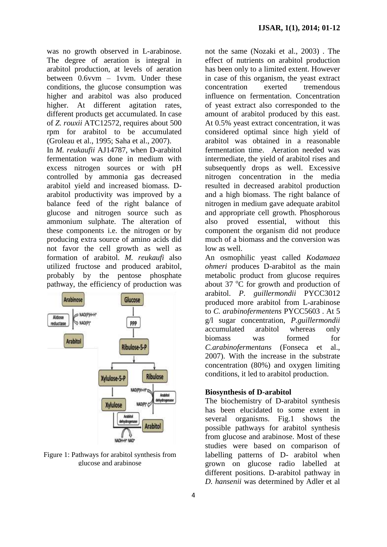was no growth observed in L-arabinose. The degree of aeration is integral in arabitol production, at levels of aeration between 0.6vvm – 1vvm. Under these conditions, the glucose consumption was higher and arabitol was also produced higher. At different agitation rates, different products get accumulated. In case of *Z. rouxii* ATC12572, requires about 500 rpm for arabitol to be accumulated (Groleau et al., 1995; Saha et al., 2007).

In *M. reukaufii* AJ14787, when D-arabitol fermentation was done in medium with excess nitrogen sources or with pH controlled by ammonia gas decreased arabitol yield and increased biomass. Darabitol productivity was improved by a balance feed of the right balance of glucose and nitrogen source such as ammonium sulphate. The alteration of these components i.e. the nitrogen or by producing extra source of amino acids did not favor the cell growth as well as formation of arabitol. *M. reukaufi* also utilized fructose and produced arabitol, probably by the pentose phosphate pathway, the efficiency of production was



Figure 1: Pathways for arabitol synthesis from glucose and arabinose

not the same (Nozaki et al., 2003) . The effect of nutrients on arabitol production has been only to a limited extent. However in case of this organism, the yeast extract concentration exerted tremendous influence on fermentation. Concentration of yeast extract also corresponded to the amount of arabitol produced by this east. At 0.5% yeast extract concentration, it was considered optimal since high yield of arabitol was obtained in a reasonable fermentation time. Aeration needed was intermediate, the yield of arabitol rises and subsequently drops as well. Excessive nitrogen concentration in the media resulted in decreased arabitol production and a high biomass. The right balance of nitrogen in medium gave adequate arabitol and appropriate cell growth. Phosphorous also proved essential, without this component the organism did not produce much of a biomass and the conversion was low as well.

An osmophilic yeast called *Kodamaea ohmeri* produces D-arabitol as the main metabolic product from glucose requires about 37 $\degree$ C for growth and production of arabitol. *P. guillermondii* PYCC3012 produced more arabitol from L-arabinose to *C. arabinofermentens* PYCC5603 . At 5 g/l sugar concentration, *P.guillermondii* accumulated arabitol whereas only biomass was formed for *C.arabinofermentans* (Fonseca et al., 2007). With the increase in the substrate concentration (80%) and oxygen limiting conditions, it led to arabitol production.

#### **Biosynthesis of D-arabitol**

The biochemistry of D-arabitol synthesis has been elucidated to some extent in several organisms. Fig.1 shows the possible pathways for arabitol synthesis from glucose and arabinose. Most of these studies were based on comparison of labelling patterns of D- arabitol when grown on glucose radio labelled at different positions. D-arabitol pathway in *D. hansenii* was determined by Adler et al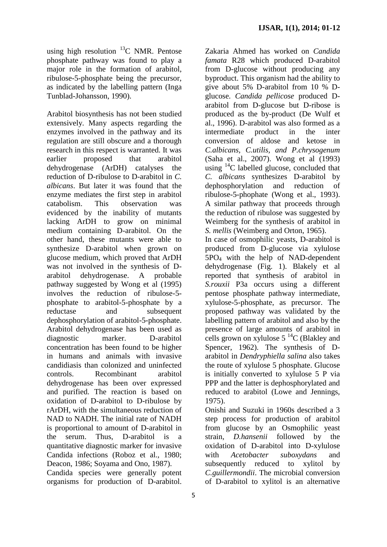using high resolution  $^{13}$ C NMR. Pentose phosphate pathway was found to play a major role in the formation of arabitol, ribulose-5-phosphate being the precursor, as indicated by the labelling pattern (Inga Tunblad-Johansson, 1990).

Arabitol biosynthesis has not been studied extensively. Many aspects regarding the enzymes involved in the pathway and its regulation are still obscure and a thorough research in this respect is warranted. It was earlier proposed that arabitol dehydrogenase (ArDH) catalyses the reduction of D-ribulose to D-arabitol in *C. albicans*. But later it was found that the enzyme mediates the first step in arabitol catabolism. This observation was evidenced by the inability of mutants lacking ArDH to grow on minimal medium containing D-arabitol. On the other hand, these mutants were able to synthesize D-arabitol when grown on glucose medium, which proved that ArDH was not involved in the synthesis of Darabitol dehydrogenase. A probable pathway suggested by Wong et al (1995) involves the reduction of ribulose-5 phosphate to arabitol-5-phosphate by a reductase and subsequent dephosphorylation of arabitol-5-phosphate. Arabitol dehydrogenase has been used as diagnostic marker. D-arabitol concentration has been found to be higher in humans and animals with invasive candidiasis than colonized and uninfected controls. Recombinant arabitol dehydrogenase has been over expressed and purified. The reaction is based on oxidation of D-arabitol to D-ribulose by rArDH, with the simultaneous reduction of NAD to NADH. The initial rate of NADH is proportional to amount of D-arabitol in the serum. Thus, D-arabitol is a quantitative diagnostic marker for invasive Candida infections (Roboz et al., 1980; Deacon, 1986; Soyama and Ono, 1987).

Candida species were generally potent organisms for production of D-arabitol.

Zakaria Ahmed has worked on *Candida famata* R28 which produced D-arabitol from D-glucose without producing any byproduct. This organism had the ability to give about 5% D-arabitol from 10 % Dglucose. *Candida pellicose* produced Darabitol from D-glucose but D-ribose is produced as the by-product (De Wulf et al., 1996). D-arabitol was also formed as a intermediate product in the inter conversion of aldose and ketose in *C.albicans, C.utilis, and P.chrysogenum* (Saha et al., 2007). Wong et al (1993) using <sup>14</sup>C labelled glucose, concluded that *C. albicans* synthesizes D-arabitol by dephosphorylation and reduction of ribulose-5-phophate (Wong et al., 1993). A similar pathway that proceeds through the reduction of ribulose was suggested by Weimberg for the synthesis of arabitol in *S. mellis* (Weimberg and Orton, 1965).

In case of osmophilic yeasts, D-arabitol is produced from D-glucose via xylulose 5PO<sup>4</sup> with the help of NAD-dependent dehydrogenase (Fig. 1). Blakely et al reported that synthesis of arabitol in *S.rouxii* P3a occurs using a different pentose phosphate pathway intermediate, xylulose-5-phosphate, as precursor. The proposed pathway was validated by the labelling pattern of arabitol and also by the presence of large amounts of arabitol in cells grown on xylulose  $5^{14}$ C (Blakley and Spencer, 1962). The synthesis of Darabitol in *Dendryphiella salina* also takes the route of xylulose 5 phosphate. Glucose is initially converted to xylulose 5 P via PPP and the latter is dephosphorylated and reduced to arabitol (Lowe and Jennings, 1975).

Onishi and Suzuki in 1960s described a 3 step process for production of arabitol from glucose by an Osmophilic yeast strain, *D.hansenii* followed by the oxidation of D-arabitol into D-xylulose with *Acetobacter suboxydans* and subsequently reduced to xylitol by *C.guillermondii*. The microbial conversion of D-arabitol to xylitol is an alternative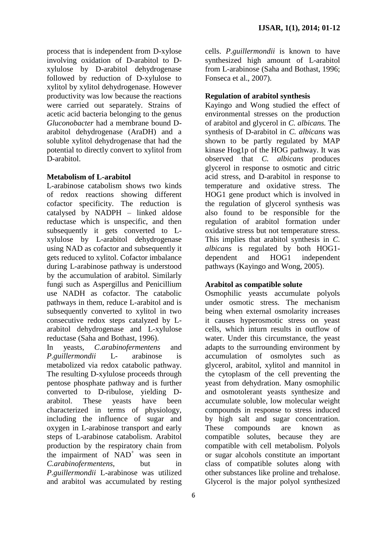process that is independent from D-xylose involving oxidation of D-arabitol to Dxylulose by D-arabitol dehydrogenase followed by reduction of D-xylulose to xylitol by xylitol dehydrogenase. However productivity was low because the reactions were carried out separately. Strains of acetic acid bacteria belonging to the genus *Gluconobacter* had a membrane bound Darabitol dehydrogenase (AraDH) and a soluble xylitol dehydrogenase that had the potential to directly convert to xylitol from D-arabitol.

## **Metabolism of L-arabitol**

L-arabinose catabolism shows two kinds of redox reactions showing different cofactor specificity. The reduction is catalysed by NADPH – linked aldose reductase which is unspecific, and then subsequently it gets converted to Lxylulose by L-arabitol dehydrogenase using NAD as cofactor and subsequently it gets reduced to xylitol. Cofactor imbalance during L-arabinose pathway is understood by the accumulation of arabitol. Similarly fungi such as Aspergillus and Penicillium use NADH as cofactor. The catabolic pathways in them, reduce L-arabitol and is subsequently converted to xylitol in two consecutive redox steps catalyzed by Larabitol dehydrogenase and L-xylulose reductase (Saha and Bothast, 1996).

In yeasts, *C.arabinofermentens* and *P.guillermondii* L- arabinose is metabolized via redox catabolic pathway. The resulting D-xylulose proceeds through pentose phosphate pathway and is further converted to D-ribulose, yielding Darabitol. These yeasts have been characterized in terms of physiology, including the influence of sugar and oxygen in L-arabinose transport and early steps of L-arabinose catabolism. Arabitol production by the respiratory chain from the impairment of NAD<sup>+</sup> was seen in *C.arabinofermentens*, but in *P.guillermondii* L-arabinose was utilized and arabitol was accumulated by resting

cells. *P.guillermondii* is known to have synthesized high amount of L-arabitol from L-arabinose (Saha and Bothast, 1996; Fonseca et al., 2007).

## **Regulation of arabitol synthesis**

Kayingo and Wong studied the effect of environmental stresses on the production of arabitol and glycerol in *C. albicans.* The synthesis of D-arabitol in *C. albicans* was shown to be partly regulated by MAP kinase Hog1p of the HOG pathway. It was observed that *C. albicans* produces glycerol in response to osmotic and citric acid stress, and D-arabitol in response to temperature and oxidative stress. The HOG1 gene product which is involved in the regulation of glycerol synthesis was also found to be responsible for the regulation of arabitol formation under oxidative stress but not temperature stress. This implies that arabitol synthesis in *C. albicans* is regulated by both HOG1 dependent and HOG1 independent pathways (Kayingo and Wong, 2005).

## **Arabitol as compatible solute**

Osmophilic yeasts accumulate polyols under osmotic stress. The mechanism being when external osmolarity increases it causes hyperosmotic stress on yeast cells, which inturn results in outflow of water. Under this circumstance, the yeast adapts to the surrounding environment by accumulation of osmolytes such as glycerol, arabitol, xylitol and mannitol in the cytoplasm of the cell preventing the yeast from dehydration. Many osmophilic and osmotolerant yeasts synthesize and accumulate soluble, low molecular weight compounds in response to stress induced by high salt and sugar concentration. These compounds are known as compatible solutes, because they are compatible with cell metabolism. Polyols or sugar alcohols constitute an important class of compatible solutes along with other substances like proline and trehalose. Glycerol is the major polyol synthesized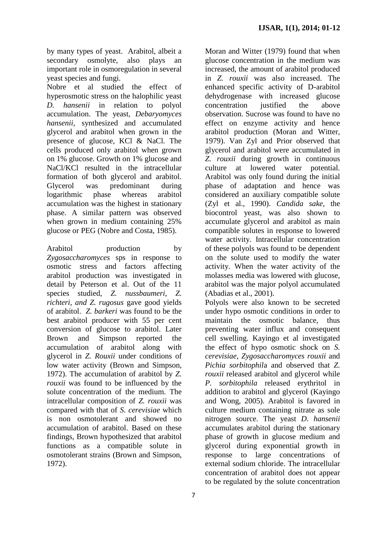by many types of yeast. Arabitol, albeit a secondary osmolyte, also plays an important role in osmoregulation in several yeast species and fungi.

Nobre et al studied the effect of hyperosmotic stress on the halophilic yeast *D. hansenii* in relation to polyol accumulation. The yeast, *Debaryomyces hansenii*, synthesized and accumulated glycerol and arabitol when grown in the presence of glucose, KCl & NaCl. The cells produced only arabitol when grown on 1% glucose. Growth on 1% glucose and NaCl/KCl resulted in the intracellular formation of both glycerol and arabitol. Glycerol was predominant during logarithmic phase whereas arabitol accumulation was the highest in stationary phase. A similar pattern was observed when grown in medium containing 25% glucose or PEG (Nobre and Costa, 1985).

Arabitol production by *Zygosaccharomyces* sps in response to osmotic stress and factors affecting arabitol production was investigated in detail by Peterson et al. Out of the 11 species studied, *Z. nussbaumeri, Z. richteri, and Z. rugosus* gave good yields of arabitol. *Z. barkeri* was found to be the best arabitol producer with 55 per cent conversion of glucose to arabitol. Later Brown and Simpson reported the accumulation of arabitol along with glycerol in *Z. Rouxii* under conditions of low water activity (Brown and Simpson, 1972). The accumulation of arabitol by *Z. rouxii* was found to be influenced by the solute concentration of the medium. The intracellular composition of *Z. rouxii* was compared with that of *S. cerevisiae* which is non osmotolerant and showed no accumulation of arabitol. Based on these findings, Brown hypothesized that arabitol functions as a compatible solute in osmotolerant strains (Brown and Simpson, 1972).

Moran and Witter (1979) found that when glucose concentration in the medium was increased, the amount of arabitol produced in *Z. rouxii* was also increased. The enhanced specific activity of D-arabitol dehydrogenase with increased glucose concentration justified the above observation. Sucrose was found to have no effect on enzyme activity and hence arabitol production (Moran and Witter, 1979). Van Zyl and Prior observed that glycerol and arabitol were accumulated in *Z. rouxii* during growth in continuous culture at lowered water potential. Arabitol was only found during the initial phase of adaptation and hence was considered an auxiliary compatible solute (Zyl et al., 1990). *Candida sake*, the biocontrol yeast, was also shown to accumulate glycerol and arabitol as main compatible solutes in response to lowered water activity. Intracellular concentration of these polyols was found to be dependent on the solute used to modify the water activity. When the water activity of the molasses media was lowered with glucose, arabitol was the major polyol accumulated (Abadias et al., 2001). Polyols were also known to be secreted under hypo osmotic conditions in order to maintain the osmotic balance, thus

preventing water influx and consequent cell swelling. Kayingo et al investigated the effect of hypo osmotic shock on *S. cerevisiae*, *Zygosaccharomyces rouxii* and *Pichia sorbitophil*a and observed that *Z. rouxii* released arabitol and glycerol while *P. sorbitophila* released erythritol in addition to arabitol and glycerol (Kayingo and Wong, 2005). Arabitol is favored in culture medium containing nitrate as sole nitrogen source. The yeast *D. hansenii*  accumulates arabitol during the stationary phase of growth in glucose medium and glycerol during exponential growth in response to large concentrations of external sodium chloride. The intracellular concentration of arabitol does not appear to be regulated by the solute concentration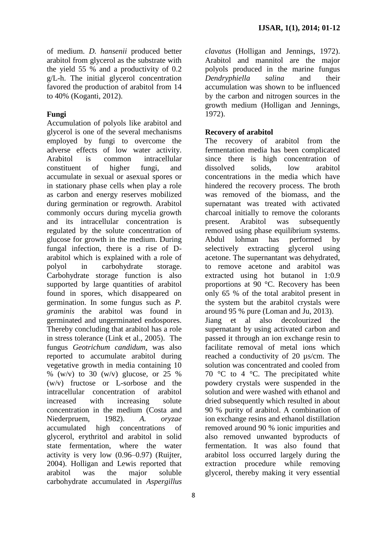of medium. *D. hansenii* produced better arabitol from glycerol as the substrate with the yield 55 % and a productivity of 0.2 g/L-h. The initial glycerol concentration favored the production of arabitol from 14 to 40% (Koganti, 2012).

## **Fungi**

Accumulation of polyols like arabitol and glycerol is one of the several mechanisms employed by fungi to overcome the adverse effects of low water activity. Arabitol is common intracellular constituent of higher fungi, and accumulate in sexual or asexual spores or in stationary phase cells when play a role as carbon and energy reserves mobilized during germination or regrowth. Arabitol commonly occurs during mycelia growth and its intracellular concentration is regulated by the solute concentration of glucose for growth in the medium. During fungal infection, there is a rise of Darabitol which is explained with a role of polyol in carbohydrate storage. Carbohydrate storage function is also supported by large quantities of arabitol found in spores, which disappeared on germination. In some fungus such as *P. graminis* the arabitol was found in germinated and ungerminated endospores. Thereby concluding that arabitol has a role in stress tolerance (Link et al., 2005). The fungus *Geotrichum candidum*, was also reported to accumulate arabitol during vegetative growth in media containing 10  $\%$  (w/v) to 30 (w/v) glucose, or 25 % (w/v) fructose or L-sorbose and the intracellular concentration of arabitol increased with increasing solute concentration in the medium (Costa and Niederpruem, 1982). *A. oryzae* accumulated high concentrations of glycerol, erythritol and arabitol in solid state fermentation, where the water activity is very low (0.96–0.97) (Ruijter, 2004). Holligan and Lewis reported that arabitol was the major soluble carbohydrate accumulated in *Aspergillus* 

8

*clavatus* (Holligan and Jennings, 1972). Arabitol and mannitol are the major polyols produced in the marine fungus *Dendryphiella salina* and their accumulation was shown to be influenced by the carbon and nitrogen sources in the growth medium (Holligan and Jennings, 1972).

#### **Recovery of arabitol**

The recovery of arabitol from the fermentation media has been complicated since there is high concentration of dissolved solids, low arabitol concentrations in the media which have hindered the recovery process. The broth was removed of the biomass, and the supernatant was treated with activated charcoal initially to remove the colorants present. Arabitol was subsequently removed using phase equilibrium systems. Abdul lohman has performed by selectively extracting glycerol using acetone. The supernantant was dehydrated, to remove acetone and arabitol was extracted using hot butanol in 1:0.9 proportions at 90 °C. Recovery has been only 65 % of the total arabitol present in the system but the arabitol crystals were around 95 % pure (Loman and Ju, 2013). Jiang et al also decolourized the supernatant by using activated carbon and passed it through an ion exchange resin to facilitate removal of metal ions which reached a conductivity of 20 µs/cm. The solution was concentrated and cooled from 70  $\degree$ C to 4  $\degree$ C. The precipitated white powdery crystals were suspended in the solution and were washed with ethanol and dried subsequently which resulted in about 90 % purity of arabitol. A combination of ion exchange resins and ethanol distillation removed around 90 % ionic impurities and also removed unwanted byproducts of fermentation. It was also found that arabitol loss occurred largely during the extraction procedure while removing

glycerol, thereby making it very essential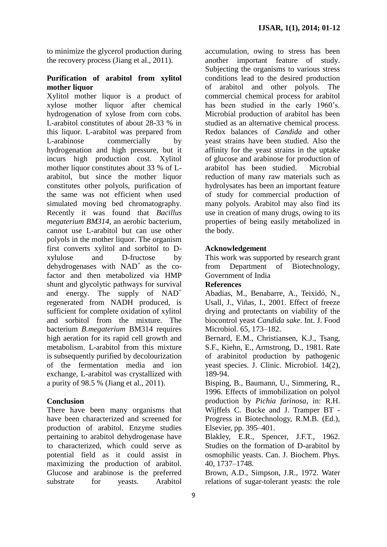to minimize the glycerol production during the recovery process (Jiang et al., 2011).

#### **Purification of arabitol from xylitol mother liquor**

Xylitol mother liquor is a product of xylose mother liquor after chemical hydrogenation of xylose from corn cobs. L-arabitol constitutes of about 28-33 % in this liquor. L-arabitol was prepared from L-arabinose commercially by hydrogenation and high pressure, but it incurs high production cost. Xylitol mother liquor constitutes about 33 % of Larabitol, but since the mother liquor constitutes other polyols, purification of the same was not efficient when used simulated moving bed chromatography. Recently it was found that *Bacillus megaterium BM314*, an aerobic bacterium, cannot use L-arabitol but can use other polyols in the mother liquor. The organism first converts xylitol and sorbitol to Dxylulose and D-fructose by  $dehydrogenases$  with  $NAD^+$  as the cofactor and then metabolized via HMP shunt and glycolytic pathways for survival and energy. The supply of  $NAD^+$ regenerated from NADH produced, is sufficient for complete oxidation of xylitol and sorbitol from the mixture. The bacterium *B.megaterium* BM314 requires high aeration for its rapid cell growth and metabolism. L-arabitol from this mixture is subsequently purified by decolourization of the fermentation media and ion exchange, L-arabitol was crystallized with a purity of 98.5 % (Jiang et al., 2011).

## **Conclusion**

There have been many organisms that have been characterized and screened for production of arabitol. Enzyme studies pertaining to arabitol dehydrogenase have to characterized, which could serve as potential field as it could assist in maximizing the production of arabitol. Glucose and arabinose is the preferred substrate for yeasts. Arabitol accumulation, owing to stress has been another important feature of study. Subjecting the organisms to various stress conditions lead to the desired production of arabitol and other polyols. The commercial chemical process for arabitol has been studied in the early 1960's. Microbial production of arabitol has been studied as an alternative chemical process. Redox balances of *Candida* and other yeast strains have been studied. Also the affinity for the yeast strains in the uptake of glucose and arabinose for production of arabitol has been studied. Microbial reduction of many raw materials such as hydrolysates has been an important feature of study for commercial production of many polyols. Arabitol may also find its use in creation of many drugs, owing to its properties of being easily metabolized in the body.

#### **Acknowledgement**

This work was supported by research grant from Department of Biotechnology, Government of India

#### **References**

Abadias, M., Benabarre, A., Teixidó, N., Usall, J., Viñas, I., 2001. Effect of freeze drying and protectants on viability of the biocontrol yeast *Candida sake*. Int. J. Food Microbiol. 65, 173–182.

Bernard, E.M., Christiansen, K.J., Tsang, S.F., Kiehn, E., Armstrong, D., 1981. Rate of arabinitol production by pathogenic yeast species. J. Clinic. Microbiol. 14(2), 189-94.

Bisping, B., Baumann, U., Simmering, R., 1996. Effects of immobilization on polyol production by *Pichia farinosa*, in: R.H. Wijffels C. Bucke and J. Tramper BT - Progress in Biotechnology, R.M.B. (Ed.), Elsevier, pp. 395–401.

Blakley, E.R., Spencer, J.F.T., 1962. Studies on the formation of D-arabitol by osmophilic yeasts. Can. J. Biochem. Phys. 40, 1737–1748.

Brown, A.D., Simpson, J.R., 1972. Water relations of sugar-tolerant yeasts: the role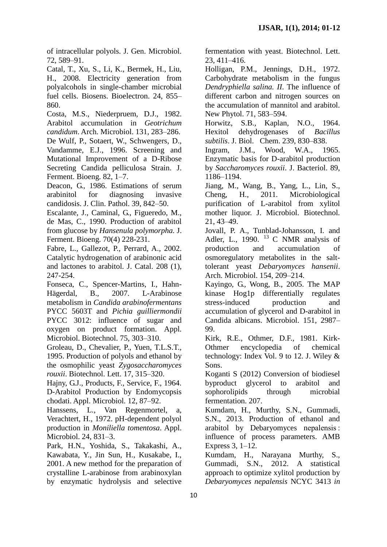of intracellular polyols. J. Gen. Microbiol. 72, 589–91.

Catal, T., Xu, S., Li, K., Bermek, H., Liu, H., 2008. Electricity generation from polyalcohols in single-chamber microbial fuel cells. Biosens. Bioelectron. 24, 855– 860.

Costa, M.S., Niederpruem, D.J., 1982. Arabitol accumulation in *Geotrichum candidum*. Arch. Microbiol. 131, 283–286. De Wulf, P., Sotaert, W., Schwengers, D., Vandamme, E.J., 1996. Screening and Mutational Improvement of a D-Ribose Secreting Candida pelliculosa Strain. J.

Ferment. Bioeng. 82, 1–7.

Deacon, G., 1986. Estimations of serum arabinitol for diagnosing invasive candidosis. J. Clin. Pathol. 39, 842–50.

Escalante, J., Caminal, G., Figueredo, M., de Mas, C., 1990. Production of arabitol from glucose by *Hansenula polymorpha.* J. Ferment. Bioeng. 70(4) 228-231.

Fabre, L., Gallezot, P., Perrard, A., 2002. Catalytic hydrogenation of arabinonic acid and lactones to arabitol. J. Catal. 208 (1), 247-254.

Fonseca, C., Spencer-Martins, I., Hahn-Hägerdal, B., 2007. L-Arabinose metabolism in *Candida arabinofermentans*  PYCC 5603T and *Pichia guilliermondii* PYCC 3012: influence of sugar and oxygen on product formation. Appl. Microbiol. Biotechnol. 75, 303–310.

Groleau, D., Chevalier, P., Yuen, T.L.S.T., 1995. Production of polyols and ethanol by the osmophilic yeast *Zygosaccharomyces rouxii*. Biotechnol. Lett. 17, 315–320.

Hajny, G.J., Products, F., Service, F., 1964. D-Arabitol Production by Endomycopsis chodati. Appl. Microbiol. 12, 87–92.

Hanssens, L., Van Regenmortel, a, Verachtert, H., 1972. pH-dependent polyol production in *Moniliella tomentosa*. Appl. Microbiol. 24, 831–3.

Park, H.N., Yoshida, S., Takakashi, A., Kawabata, Y., Jin Sun, H., Kusakabe, I., 2001. A new method for the preparation of crystalline L-arabinose from arabinoxylan by enzymatic hydrolysis and selective

fermentation with yeast. Biotechnol. Lett. 23, 411–416.

Holligan, P.M., Jennings, D.H., 1972. Carbohydrate metabolism in the fungus *Dendryphiella salina. II*. The influence of different carbon and nitrogen sources on the accumulation of mannitol and arabitol. New Phytol. 71, 583–594.

Horwitz, S.B., Kaplan, N.O., 1964. Hexitol dehydrogenases of *Bacillus subtilis*. J. Biol. Chem. 239, 830–838.

Ingram, J.M., Wood, W.A., 1965. Enzymatic basis for D-arabitol production by *Saccharomyces rouxii*. J. Bacteriol. 89, 1186–1194.

Jiang, M., Wang, B., Yang, L., Lin, S., Cheng, H., 2011. Microbiological purification of L-arabitol from xylitol mother liquor. J. Microbiol. Biotechnol. 21, 43–49.

Jovall, P. A., Tunblad-Johansson, I. and Adler, L., 1990.  $^{13}$  C NMR analysis of production and accumulation of osmoregulatory metabolites in the salttolerant yeast *Debaryomyces hansenii*. Arch. Microbiol. 154, 209–214.

Kayingo, G., Wong, B., 2005. The MAP kinase Hog1p differentially regulates stress-induced production and accumulation of glycerol and D-arabitol in Candida albicans. Microbiol. 151, 2987– 99.

Kirk, R.E., Othmer, D.F., 1981. Kirk-Othmer encyclopedia of chemical technology: Index Vol. 9 to 12. J. Wiley & Sons.

Koganti S (2012) Conversion of biodiesel byproduct glycerol to arabitol and sophorolipids through microbial fermentation. 207.

Kumdam, H., Murthy, S.N., Gummadi, S.N., 2013. Production of ethanol and arabitol by Debaryomyces nepalensis : influence of process parameters. AMB Express 3, 1–12.

Kumdam, H., Narayana Murthy, S., Gummadi, S.N., 2012. A statistical approach to optimize xylitol production by *Debaryomyces nepalensis* NCYC 3413 *in*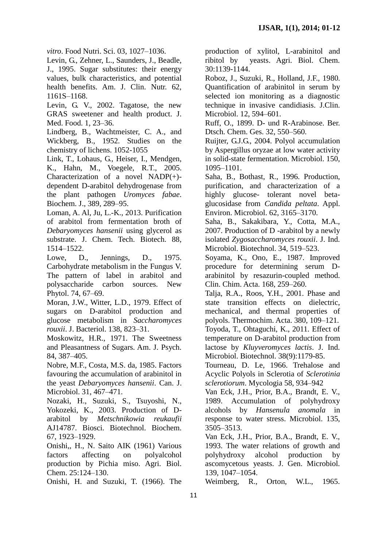*vitro*. Food Nutri. Sci. 03, 1027–1036.

Levin, G., Zehner, L., Saunders, J., Beadle, J., 1995. Sugar substitutes: their energy values, bulk characteristics, and potential health benefits. Am. J. Clin. Nutr. 62, 1161S–1168.

Levin, G. V., 2002. Tagatose, the new GRAS sweetener and health product. J. Med. Food. 1, 23–36.

Lindberg, B., Wachtmeister, C. A., and Wickberg, B., 1952. Studies on the chemistry of lichens. 1052-1055

Link, T., Lohaus, G., Heiser, I., Mendgen, K., Hahn, M., Voegele, R.T., 2005. Characterization of a novel NADP(+) dependent D-arabitol dehydrogenase from the plant pathogen *Uromyces fabae*. Biochem. J., 389, 289–95.

Loman, A. Al, Ju, L.-K., 2013. Purification of arabitol from fermentation broth of *Debaryomyces hansenii* using glycerol as substrate. J. Chem. Tech. Biotech. 88, 1514–1522.

Lowe, D., Jennings, D., 1975. Carbohydrate metabolism in the Fungus V. The pattern of label in arabitol and polysaccharide carbon sources. New Phytol. 74, 67–69.

Moran, J.W., Witter, L.D., 1979. Effect of sugars on D-arabitol production and glucose metabolism in *Saccharomyces rouxii*. J. Bacteriol. 138, 823–31.

Moskowitz, H.R., 1971. The Sweetness and Pleasantness of Sugars. Am. J. Psych. 84, 387–405.

Nobre, M.F., Costa, M.S. da, 1985. Factors favouring the accumulation of arabinitol in the yeast *Debaryomyces hansenii*. Can. J. Microbiol. 31, 467–471.

Nozaki, H., Suzuki, S., Tsuyoshi, N., Yokozeki, K., 2003. Production of Darabitol by *Metschnikowia reukaufii* AJ14787. Biosci. Biotechnol. Biochem. 67, 1923–1929.

Onishi,, H., N. Saito AIK (1961) Various factors affecting on polyalcohol production by Pichia miso. Agri. Biol. Chem. 25:124–130.

Onishi, H. and Suzuki, T. (1966). The

production of xylitol, L-arabinitol and ribitol by yeasts. Agri. Biol. Chem. 30:1139-1144.

Roboz, J., Suzuki, R., Holland, J.F., 1980. Quantification of arabinitol in serum by selected ion monitoring as a diagnostic technique in invasive candidiasis. J.Clin. Microbiol. 12, 594–601.

Ruff, O., 1899. D- und R-Arabinose. Ber. Dtsch. Chem. Ges. 32, 550–560.

Ruijter, G.J.G., 2004. Polyol accumulation by Aspergillus oryzae at low water activity in solid-state fermentation. Microbiol. 150, 1095–1101.

Saha, B., Bothast, R., 1996. Production, purification, and characterization of a highly glucose- tolerant novel betaglucosidase from *Candida peltata*. Appl. Environ. Microbiol. 62, 3165–3170.

Saha, B., Sakakibara, Y., Cotta, M.A., 2007. Production of D -arabitol by a newly isolated *Zygosaccharomyces rouxii*. J. Ind. Microbiol. Biotechnol. 34, 519–523.

Soyama, K., Ono, E., 1987. Improved procedure for determining serum Darabinitol by resazurin-coupled method. Clin. Chim. Acta. 168, 259–260.

Talja, R.A., Roos, Y.H., 2001. Phase and state transition effects on dielectric, mechanical, and thermal properties of polyols. Thermochim. Acta. 380, 109–121.

Toyoda, T., Ohtaguchi, K., 2011. Effect of temperature on D-arabitol production from lactose by *Kluyveromyces lactis*. J. Ind. Microbiol. Biotechnol. 38(9):1179-85.

Tourneau, D. Le, 1966. Trehalose and Acyclic Polyols in Sclerotia of *Sclerotinia sclerotiorum*. Mycologia 58, 934–942

Van Eck, J.H., Prior, B.A., Brandt, E. V., 1989. Accumulation of polyhydroxy alcohols by *Hansenula anomala* in response to water stress. Microbiol. 135, 3505–3513.

Van Eck, J.H., Prior, B.A., Brandt, E. V., 1993. The water relations of growth and polyhydroxy alcohol production by ascomycetous yeasts. J. Gen. Microbiol. 139, 1047–1054.

Weimberg, R., Orton, W.L., 1965.